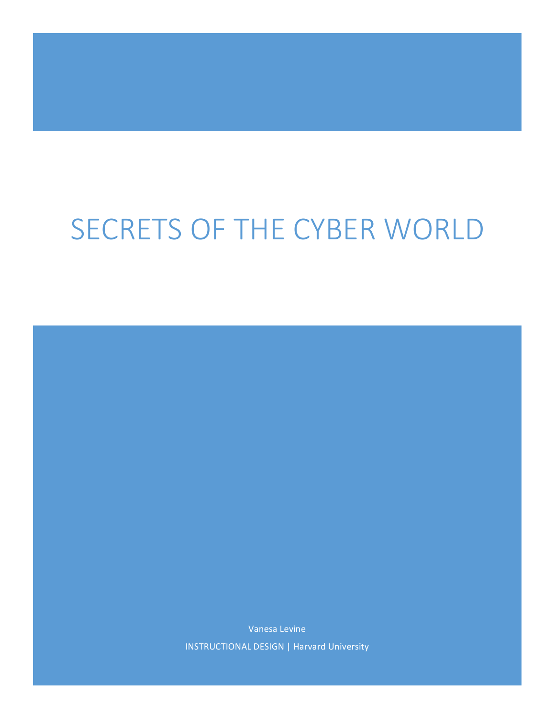# SECRETS OF THE CYBER WORLD

Vanesa Levine INSTRUCTIONAL DESIGN | Harvard University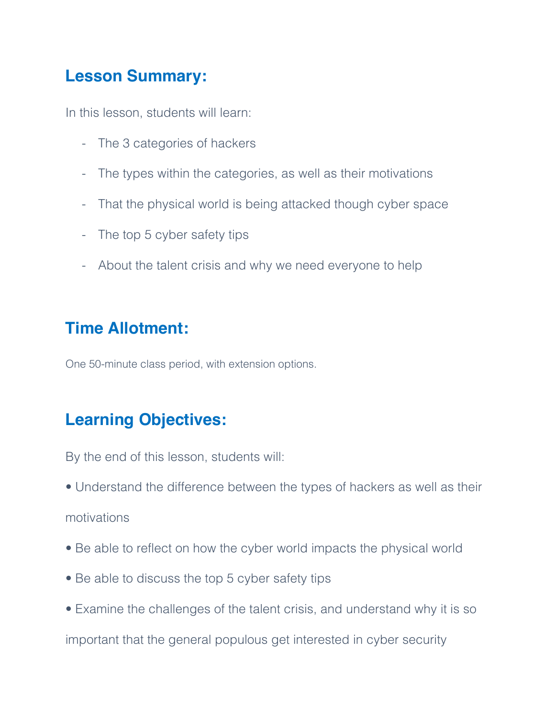## **Lesson Summary:**

In this lesson, students will learn:

- The 3 categories of hackers
- The types within the categories, as well as their motivations
- That the physical world is being attacked though cyber space
- The top 5 cyber safety tips
- About the talent crisis and why we need everyone to help

# **Time Allotment:**

One 50-minute class period, with extension options.

# **Learning Objectives:**

By the end of this lesson, students will:

• Understand the difference between the types of hackers as well as their

motivations

- Be able to reflect on how the cyber world impacts the physical world
- Be able to discuss the top 5 cyber safety tips
- Examine the challenges of the talent crisis, and understand why it is so

important that the general populous get interested in cyber security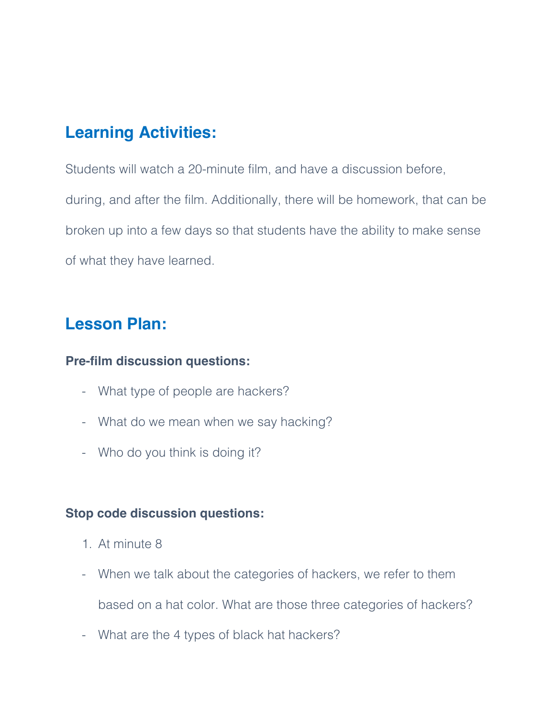# **Learning Activities:**

Students will watch a 20-minute film, and have a discussion before, during, and after the film. Additionally, there will be homework, that can be broken up into a few days so that students have the ability to make sense of what they have learned.

## **Lesson Plan:**

#### **Pre-film discussion questions:**

- What type of people are hackers?
- What do we mean when we say hacking?
- Who do you think is doing it?

#### **Stop code discussion questions:**

- 1. At minute 8
- When we talk about the categories of hackers, we refer to them

based on a hat color. What are those three categories of hackers?

- What are the 4 types of black hat hackers?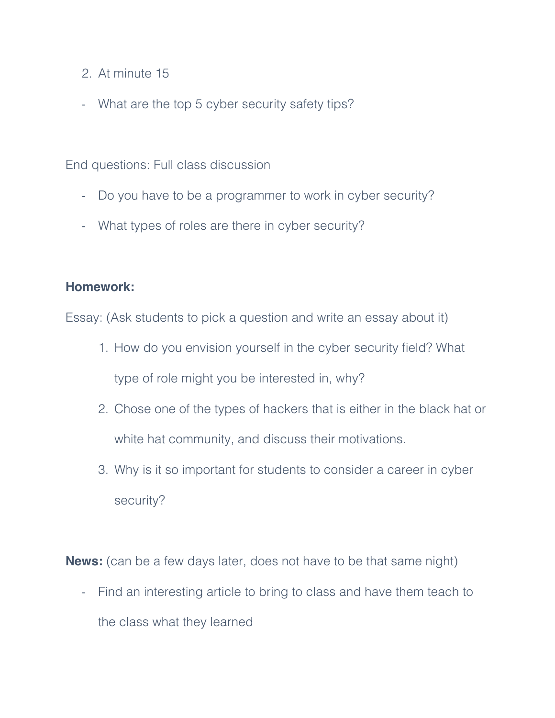- 2. At minute 15
- What are the top 5 cyber security safety tips?

End questions: Full class discussion

- Do you have to be a programmer to work in cyber security?
- What types of roles are there in cyber security?

#### **Homework:**

Essay: (Ask students to pick a question and write an essay about it)

- 1. How do you envision yourself in the cyber security field? What type of role might you be interested in, why?
- 2. Chose one of the types of hackers that is either in the black hat or white hat community, and discuss their motivations.
- 3. Why is it so important for students to consider a career in cyber security?

**News:** (can be a few days later, does not have to be that same night)

- Find an interesting article to bring to class and have them teach to the class what they learned